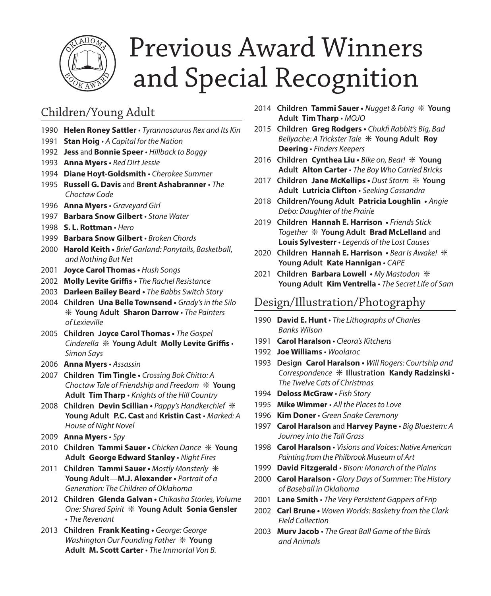

# Previous Award Winners and Special Recognition

# Children/Young Adult

- 1990 **Helen Roney Sattler** *Tyrannosaurus Rex and Its Kin*
- 1991 **Stan Hoig** *A Capital for the Nation*
- 1992 **Jess** and **Bonnie Speer** *Hillback to Boggy*
- 1993 **Anna Myers** *Red Dirt Jessie*
- 1994 **Diane Hoyt-Goldsmith** *Cherokee Summer*
- 1995 **Russell G. Davis** and **Brent Ashabranner** *The Choctaw Code*
- 1996 **Anna Myers** *Graveyard Girl*
- 1997 **Barbara Snow Gilbert** *Stone Water*
- 1998 **S. L. Rottman** *Hero*
- 1999 **Barbara Snow Gilbert** *Broken Chords*
- 2000 **Harold Keith** *Brief Garland: Ponytails*, *Basketball*, *and Nothing But Net*
- 2001 **Joyce Carol Thomas** *Hush Songs*
- 2002 **Molly Levite Griffis** *The Rachel Resistance*
- 2003 **Darleen Bailey Beard** *The Babbs Switch Story*
- 2004 **Children Una Belle Townsend** *Grady's in the Silo*  ❇ **Young Adult Sharon Darrow** • *The Painters of Lexieville*
- 2005 **Children Joyce Carol Thomas** *The Gospel Cinderella* ❇ **Young Adult Molly Levite Griffis** • *Simon Says*
- 2006 **Anna Myers** *Assassin*
- 2007 **Children Tim Tingle** *Crossing Bok Chitto: A Choctaw Tale of Friendship and Freedom* ❇ **Young Adult Tim Tharp** • *Knights of the Hill Country*
- 2008 **Children Devin Scillian** *Pappy's Handkerchief* ❇ **Young Adult P.C. Cast** and **Kristin Cast** • *Marked: A House of Night Novel*
- 2009 **Anna Myers** *Spy*
- 2010 **Children Tammi Sauer** *Chicken Dance* ❇ **Young Adult George Edward Stanley** • *Night Fires*
- 2011 **Children Tammi Sauer** *Mostly Monsterly* ❇ **Young Adult**—**M.J. Alexander •** *Portrait of a Generation: The Children of Oklahoma*
- 2012 **Children Glenda Galvan** *Chikasha Stories, Volume One: Shared Spirit* ❇ **Young Adult Sonia Gensler** • *The Revenant*
- 2013 **Children Frank Keating** *George: George Washington Our Founding Father* ❇ **Young Adult M. Scott Carter** • *The Immortal Von B.*
- 2014 **Children Tammi Sauer** *Nugget & Fang* ❇ **Young Adult Tim Tharp** • *MOJO*
- 2015 **Children Greg Rodgers** *Chukfi Rabbit's Big, Bad Bellyache: A Trickster Tale* ❇ **Young Adult Roy Deering** • *Finders Keepers*
- 2016 **Children Cynthea Liu** *Bike on, Bear!* ❇ **Young Adult Alton Carter** • *The Boy Who Carried Bricks*
- 2017 **Children Jane McKellips** *Dust Storm* ❇ **Young Adult Lutricia Clifton** • *Seeking Cassandra*
- 2018 **Children/Young Adult Patricia Loughlin** *Angie Debo: Daughter of the Prairie*
- 2019 **Children Hannah E. Harrison** *Friends Stick Together* ❇ **Young Adult Brad McLelland** and **Louis Sylvesterr** • *Legends of the Lost Causes*
- 2020 **Children Hannah E. Harrison** *Bear Is Awake!* ❇ **Young Adult Kate Hannigan** • *CAPE*
- 2021 **Children Barbara Lowell** *My Mastodon* ❇ **Young Adult Kim Ventrella** • *The Secret Life of Sam*

#### Design/Illustration/Photography

- 1990 **David E. Hunt** *The Lithographs of Charles Banks Wilson*
- 1991 **Carol Haralson** *Cleora's Kitchens*
- 1992 **Joe Williams** *Woolaroc*
- 1993 **Design Carol Haralson** *Will Rogers: Courtship and Correspondence* ❇ **Illustration Kandy Radzinski** • *The Twelve Cats of Christmas*
- 1994 **Deloss McGraw** *Fish Story*
- 1995 **Mike Wimmer** *All the Places to Love*
- 1996 **Kim Doner** *Green Snake Ceremony*
- 1997 **Carol Haralson** and **Harvey Payne** *Big Bluestem: A Journey into the Tall Grass*
- 1998 **Carol Haralson** *Visions and Voices: Native American Painting from the Philbrook Museum of Art*
- 1999 **David Fitzgerald** *Bison: Monarch of the Plains*
- 2000 **Carol Haralson** *Glory Days of Summer: The History of Baseball in Oklahoma*
- 2001 **Lane Smith** *The Very Persistent Gappers of Frip*
- 2002 **Carl Brune** *Woven Worlds: Basketry from the Clark Field Collection*
- 2003 **Murv Jacob** *The Great Ball Game of the Birds and Animals*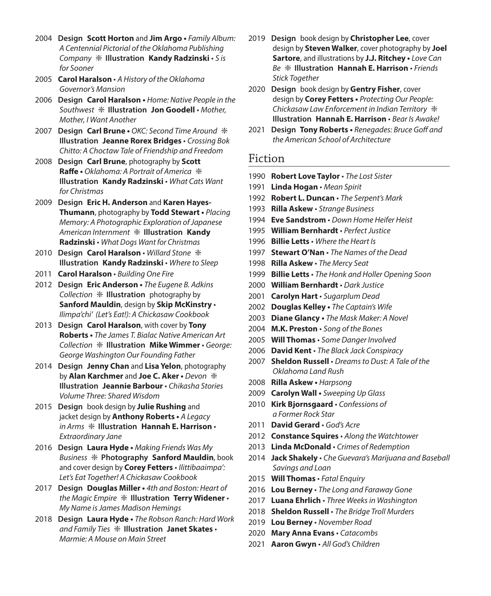- 2004 **Design Scott Horton** and **Jim Argo** *Family Album: A Centennial Pictorial of the Oklahoma Publishing Company* ❇ **Illustration Kandy Radzinski** • *S is for Sooner*
- 2005 **Carol Haralson** *A History of the Oklahoma Governor's Mansion*
- 2006 **Design Carol Haralson** *Home: Native People in the Southwest* ❇ **Illustration Jon Goodell** • *Mother, Mother, I Want Another*
- 2007 **Design Carl Brune** *OKC: Second Time Around* ❇ **Illustration Jeanne Rorex Bridges** • *Crossing Bok Chitto: A Choctaw Tale of Friendship and Freedom*
- 2008 **Design Carl Brune**, photography by **Scott Raffe •** *Oklahoma: A Portrait of America* ❇ **Illustration Kandy Radzinski** • *What Cats Want for Christmas*
- 2009 **Design Eric H. Anderson** and **Karen Hayes-Thumann**, photography by **Todd Stewart •** *Placing Memory: A Photographic Exploration of Japanese American Internment* ❇ **Illustration Kandy Radzinski** • *What Dogs Want for Christmas*
- 2010 **Design Carol Haralson**  *Willard Stone* ❇ **Illustration Kandy Radzinski** • *Where to Sleep*
- 2011 **Carol Haralson**  *Building One Fire*
- 2012 **Design Eric Anderson** *The Eugene B. Adkins Collection* ❇ **Illustration** photography by **Sanford Mauldin**, design by **Skip McKinstry** • *Ilimpa'chi' (Let's Eat!): A Chickasaw Cookbook*
- 2013 **Design Carol Haralson**, with cover by **Tony Roberts •** *The James T. Bialac Native American Art Collection* ❇ **Illustration Mike Wimmer** • *George: George Washington Our Founding Father*
- 2014 **Design Jenny Chan** and **Lisa Yelon**, photography by **Alan Karchmer** and **Joe C. Aker •** *Devon* ❇ **Illustration Jeannie Barbour** • *Chikasha Stories Volume Three: Shared Wisdom*
- 2015 **Design** book design by **Julie Rushing** and jacket design by **Anthony Roberts •** *A Legacy in Arms* ❇ **Illustration Hannah E. Harrison** • *Extraordinary Jane*
- 2016 **Design Laura Hyde** *Making Friends Was My Business* ❇ **Photography Sanford Mauldin**, book and cover design by **Corey Fetters** • *Ilittibaaimpa': Let's Eat Together! A Chickasaw Cookbook*
- 2017 **Design Douglas Miller** *4th and Boston: Heart of the Magic Empire* ❇ **Illustration Terry Widener** • *My Name is James Madison Hemings*
- 2018 **Design Laura Hyde** *The Robson Ranch: Hard Work and Family Ties* ❇ **Illustration Janet Skates** • *Marmie: A Mouse on Main Street*
- 2019 **Design** book design by **Christopher Lee**, cover design by **Steven Walker**, cover photography by **Joel Sartore**, and illustrations by **J.J. Ritchey •** *Love Can Be* ❇ **Illustration Hannah E. Harrison** • *Friends Stick Together*
- 2020 **Design** book design by **Gentry Fisher**, cover design by **Corey Fetters •** *Protecting Our People: Chickasaw Law Enforcement in Indian Territory* ❇ **Illustration Hannah E. Harrison** • *Bear Is Awake!*
- 2021 **Design Tony Roberts** *Renegades: Bruce Goff and the American School of Architecture*

#### Fiction

- 1990 **Robert Love Taylor** *The Lost Sister*
- 1991 **Linda Hogan** *Mean Spirit*
- 1992 **Robert L. Duncan** *The Serpent's Mark*
- 1993 **Rilla Askew** *Strange Business*
- 1994 **Eve Sandstrom** *Down Home Heifer Heist*
- 1995 **William Bernhardt** *Perfect Justice*
- 1996 **Billie Letts** *Where the Heart Is*
- 1997 **Stewart O'Nan** *The Names of the Dead*
- 1998 **Rilla Askew** *The Mercy Seat*
- 1999 **Billie Letts** *The Honk and Holler Opening Soon*
- 2000 **William Bernhardt** *Dark Justice*
- 2001 **Carolyn Hart** *Sugarplum Dead*
- 2002 **Douglas Kelley** *The Captain's Wife*
- 2003 **Diane Glancy** *The Mask Maker: A Novel*
- 2004 **M.K. Preston** *Song of the Bones*
- 2005 **Will Thomas** *Some Danger Involved*
- 2006 **David Kent** *The Black Jack Conspiracy*
- 2007 **Sheldon Russell** *Dreams to Dust: A Tale of the Oklahoma Land Rush*
- 2008 **Rilla Askew** *Harpsong*
- 2009 **Carolyn Wall** *Sweeping Up Glass*
- 2010 **Kirk Bjornsgaard** *Confessions of a Former Rock Star*
- 2011 **David Gerard** *God's Acre*
- 2012 **Constance Squires** *Along the Watchtower*
- 2013 **Linda McDonald** *Crimes of Redemption*
- 2014 **Jack Shakely** *Che Guevara's Marijuana and Baseball Savings and Loan*
- 2015 **Will Thomas** *Fatal Enquiry*
- 2016 **Lou Berney** *The Long and Faraway Gone*
- 2017 **Luana Ehrlich** *Three Weeks in Washington*
- 2018 **Sheldon Russell** *The Bridge Troll Murders*
- 2019 **Lou Berney** *November Road*
- 2020 **Mary Anna Evans** *Catacombs*
- 2021 **Aaron Gwyn** *All God's Children*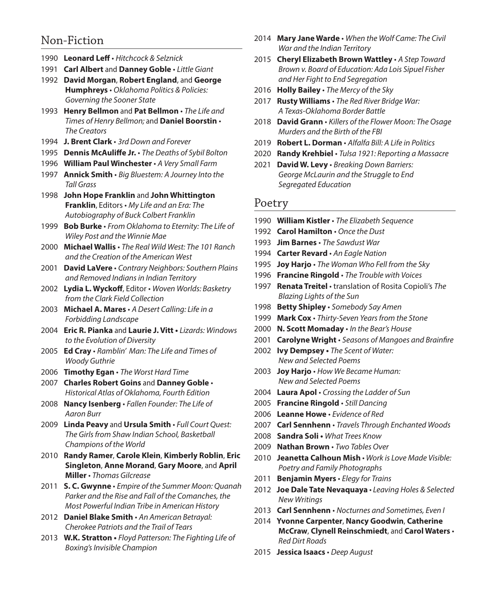## Non-Fiction

- 1990 **Leonard Leff** *Hitchcock & Selznick*
- 1991 **Carl Albert** and **Danney Goble** *Little Giant*
- 1992 **David Morgan**, **Robert England**, and **George Humphreys** • *Oklahoma Politics & Policies: Governing the Sooner State*
- 1993 **Henry Bellmon** and **Pat Bellmon** *The Life and Times of Henry Bellmon;* and **Daniel Boorstin** • *The Creators*
- 1994 **J. Brent Clark** *3rd Down and Forever*
- 1995 **Dennis McAuliffe Jr.** *The Deaths of Sybil Bolton*
- 1996 **William Paul Winchester** *A Very Small Farm*
- 1997 **Annick Smith** *Big Bluestem: A Journey Into the Tall Grass*
- 1998 **John Hope Franklin** and **John Whittington Franklin**, Editors • *My Life and an Era: The Autobiography of Buck Colbert Franklin*
- 1999 **Bob Burke** *From Oklahoma to Eternity: The Life of Wiley Post and the Winnie Mae*
- 2000 **Michael Wallis** *The Real Wild West: The 101 Ranch and the Creation of the American West*
- 2001 **David LaVere** *Contrary Neighbors: Southern Plains and Removed Indians in Indian Territory*
- 2002 **Lydia L. Wyckoff**, Editor *Woven Worlds: Basketry from the Clark Field Collection*
- 2003 **Michael A. Mares** *A Desert Calling: Life in a Forbidding Landscape*
- 2004 **Eric R. Pianka** and **Laurie J. Vitt** *Lizards: Windows to the Evolution of Diversity*
- 2005 **Ed Cray** *Ramblin' Man: The Life and Times of Woody Guthrie*
- 2006 **Timothy Egan** *The Worst Hard Time*
- 2007 **Charles Robert Goins** and **Danney Goble** *Historical Atlas of Oklahoma, Fourth Edition*
- 2008 **Nancy Isenberg** *Fallen Founder: The Life of Aaron Burr*
- 2009 **Linda Peavy** and **Ursula Smith**  *Full Court Quest: The Girls from Shaw Indian School, Basketball Champions of the World*
- 2010 **Randy Ramer**, **Carole Klein**, **Kimberly Roblin**, **Eric Singleton**, **Anne Morand**, **Gary Moore**, and **April Miller** • *Thomas Gilcrease*
- 2011 **S. C. Gwynne**  *Empire of the Summer Moon: Quanah Parker and the Rise and Fall of the Comanches, the Most Powerful Indian Tribe in American History*
- 2012 **Daniel Blake Smith** *An American Betrayal: Cherokee Patriots and the Trail of Tears*
- 2013 **W.K. Stratton** *Floyd Patterson: The Fighting Life of Boxing's Invisible Champion*
- 2014 **Mary Jane Warde** *When the Wolf Came: The Civil War and the Indian Territory*
- 2015 **Cheryl Elizabeth Brown Wattley** *A Step Toward Brown v. Board of Education: Ada Lois Sipuel Fisher and Her Fight to End Segregation*
- 2016 **Holly Bailey** *The Mercy of the Sky*
- 2017 **Rusty Williams** *The Red River Bridge War: A Texas-Oklahoma Border Battle*
- 2018 **David Grann** *Killers of the Flower Moon: The Osage Murders and the Birth of the FBI*
- 2019 **Robert L. Dorman** *Alfalfa Bill: A Life in Politics*
- 2020 **Randy Krehbiel** *Tulsa 1921: Reporting a Massacre*
- 2021 **David W. Levy** *Breaking Down Barriers: George McLaurin and the Struggle to End Segregated Education*

#### Poetry

- 1990 **William Kistler** *The Elizabeth Sequence*
- 1992 **Carol Hamilton** *Once the Dust*
- 1993 **Jim Barnes** *The Sawdust War*
- 1994 **Carter Revard** *An Eagle Nation*
- 1995 **Joy Harjo** *The Woman Who Fell from the Sky*
- 1996 **Francine Ringold** *The Trouble with Voices*
- 1997 **Renata Treitel** translation of Rosita Copioli's *The Blazing Lights of the Sun*
- 1998 **Betty Shipley** *Somebody Say Amen*
- 1999 **Mark Cox** *Thirty-Seven Years from the Stone*
- 2000 **N. Scott Momaday** *In the Bear's House*
- 2001 **Carolyne Wright** *Seasons of Mangoes and Brainfire*
- 2002 **Ivy Dempsey** *The Scent of Water: New and Selected Poems*
- 2003 **Joy Harjo** *How We Became Human: New and Selected Poems*
- 2004 **Laura Apol** *Crossing the Ladder of Sun*
- 2005 **Francine Ringold** *Still Dancing*
- 2006 **Leanne Howe** *Evidence of Red*
- 2007 **Carl Sennhenn** *Travels Through Enchanted Woods*
- 2008 **Sandra Soli** *What Trees Know*
- 2009 **Nathan Brown** *Two Tables Over*
- 2010 **Jeanetta Calhoun Mish** *Work is Love Made Visible: Poetry and Family Photographs*
- 2011 **Benjamin Myers**  *Elegy for Trains*
- 2012 **Joe Dale Tate Nevaquaya** *Leaving Holes & Selected New Writings*
- 2013 **Carl Sennhenn** *Nocturnes and Sometimes, Even I*
- 2014 **Yvonne Carpenter**, **Nancy Goodwin**, **Catherine McCraw**, **Clynell Reinschmiedt**, and **Carol Waters** • *Red Dirt Roads*
- 2015 **Jessica Isaacs** *Deep August*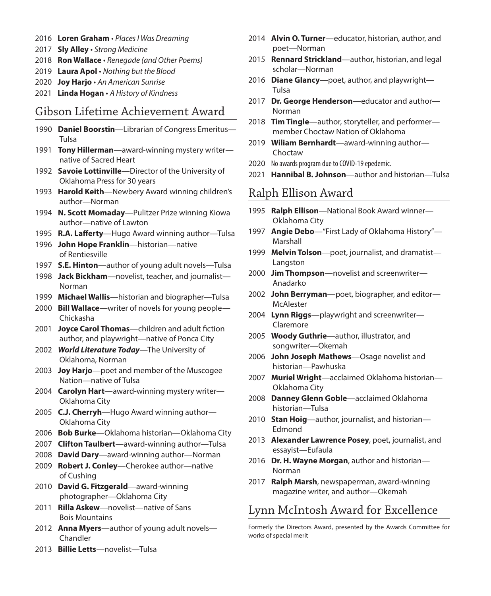- 2016 **Loren Graham** *Places I Was Dreaming*
- 2017 **Sly Alley** *Strong Medicine*
- 2018 **Ron Wallace** *Renegade (and Other Poems)*
- 2019 **Laura Apol** *Nothing but the Blood*
- 2020 **Joy Harjo** *An American Sunrise*
- 2021 **Linda Hogan** *A History of Kindness*

## Gibson Lifetime Achievement Award

- 1990 **Daniel Boorstin**—Librarian of Congress Emeritus— Tulsa
- 1991 **Tony Hillerman**—award-winning mystery writer native of Sacred Heart
- 1992 **Savoie Lottinville**—Director of the University of Oklahoma Press for 30 years
- 1993 **Harold Keith**—Newbery Award winning children's author—Norman
- 1994 **N. Scott Momaday**—Pulitzer Prize winning Kiowa author—native of Lawton
- 1995 **R.A. Lafferty**—Hugo Award winning author—Tulsa
- 1996 **John Hope Franklin**—historian—native of Rentiesville
- 1997 **S.E. Hinton**—author of young adult novels—Tulsa
- 1998 **Jack Bickham**—novelist, teacher, and journalist— Norman
- 1999 **Michael Wallis**—historian and biographer—Tulsa
- 2000 **Bill Wallace**—writer of novels for young people— Chickasha
- 2001 **Joyce Carol Thomas**—children and adult fiction author, and playwright—native of Ponca City
- 2002 *World Literature Today*—The University of Oklahoma, Norman
- 2003 **Joy Harjo**—poet and member of the Muscogee Nation—native of Tulsa
- 2004 **Carolyn Hart**—award-winning mystery writer— Oklahoma City
- 2005 **C.J. Cherryh**—Hugo Award winning author— Oklahoma City
- 2006 **Bob Burke**—Oklahoma historian—Oklahoma City
- 2007 **Clifton Taulbert**—award-winning author—Tulsa
- 2008 **David Dary**—award-winning author—Norman
- 2009 **Robert J. Conley**—Cherokee author—native of Cushing
- 2010 **David G. Fitzgerald**—award-winning photographer—Oklahoma City
- 2011 **Rilla Askew**—novelist—native of Sans Bois Mountains
- 2012 **Anna Myers**—author of young adult novels— Chandler
- 2014 **Alvin O. Turner**—educator, historian, author, and poet—Norman
- 2015 **Rennard Strickland**—author, historian, and legal scholar—Norman
- 2016 **Diane Glancy**—poet, author, and playwright— Tulsa
- 2017 **Dr. George Henderson**—educator and author— Norman
- 2018 **Tim Tingle**—author, storyteller, and performer member Choctaw Nation of Oklahoma
- 2019 **Wiliam Bernhardt**—award-winning author— Choctaw
- 2020 No awards program due to COVID-19 epedemic.
- 2021 **Hannibal B. Johnson**—author and historian—Tulsa

#### Ralph Ellison Award

- 1995 **Ralph Ellison**—National Book Award winner— Oklahoma City
- 1997 **Angie Debo**—"First Lady of Oklahoma History"— Marshall
- 1999 **Melvin Tolson**—poet, journalist, and dramatist— **Langston**
- 2000 **Jim Thompson**—novelist and screenwriter— Anadarko
- 2002 **John Berryman**—poet, biographer, and editor— McAlester
- 2004 **Lynn Riggs**—playwright and screenwriter— Claremore
- 2005 **Woody Guthrie**—author, illustrator, and songwriter—Okemah
- 2006 **John Joseph Mathews**—Osage novelist and historian—Pawhuska
- 2007 **Muriel Wright**—acclaimed Oklahoma historian— Oklahoma City
- 2008 **Danney Glenn Goble**—acclaimed Oklahoma historian—Tulsa
- 2010 **Stan Hoig**—author, journalist, and historian— Edmond
- 2013 **Alexander Lawrence Posey**, poet, journalist, and essayist—Eufaula
- 2016 **Dr. H. Wayne Morgan**, author and historian— Norman
- 2017 **Ralph Marsh**, newspaperman, award-winning magazine writer, and author—Okemah

## Lynn McIntosh Award for Excellence

Formerly the Directors Award, presented by the Awards Committee for works of special merit

2013 **Billie Letts**—novelist—Tulsa